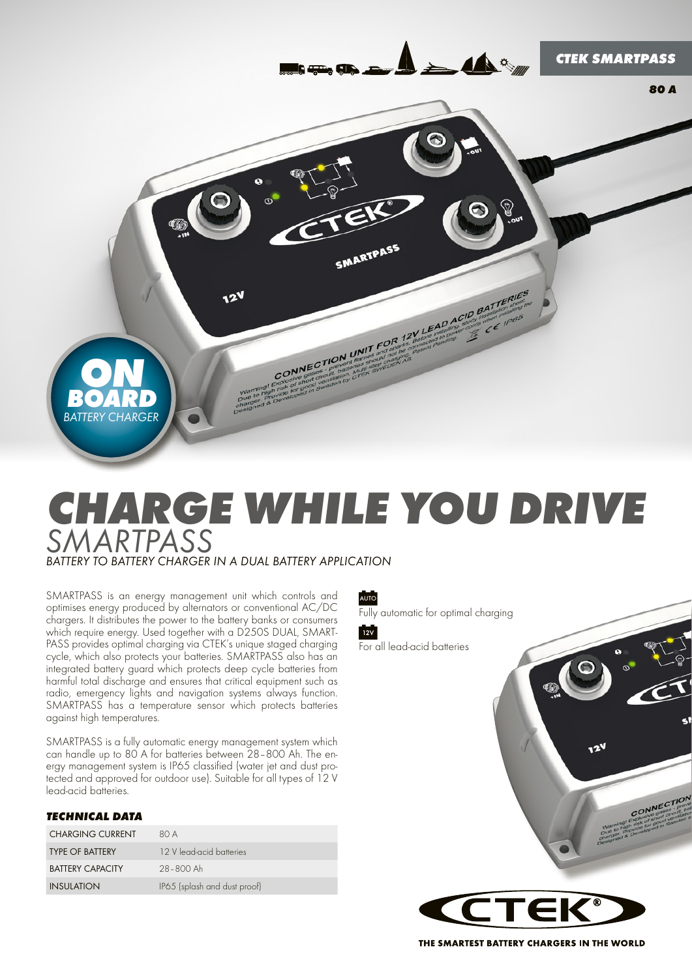

# *Charge while you drive SMARTPASS BATTERY TO BATTERY CHARGER IN A DUAL BATTERY APPLICATION*

SMARTPASS is an energy management unit which controls and optimises energy produced by alternators or conventional AC/DC chargers. It distributes the power to the battery banks or consumers which require energy. Used together with a D250S DUAL, SMART-PASS provides optimal charging via CTEK's unique staged charging cycle, which also protects your batteries. SMARTPASS also has an integrated battery guard which protects deep cycle batteries from harmful total discharge and ensures that critical equipment such as radio, emergency lights and navigation systems always function. SMARTPASS has a temperature sensor which protects batteries against high temperatures.

SMARTPASS is a fully automatic energy management system which can handle up to 80 A for batteries between 28–800 Ah. The energy management system is IP65 classified (water jet and dust protected and approved for outdoor use). Suitable for all types of 12 V lead-acid batteries.

#### *TECHNICAL DATA*

| <b>CHARGING CURRENT</b> | 80 A                         |
|-------------------------|------------------------------|
| <b>TYPE OF BATTERY</b>  | 12 V lead-acid batteries     |
| <b>BATTERY CAPACITY</b> | 28-800 Ah                    |
| <b>INSULATION</b>       | IP65 (splash and dust proof) |

AUTO

Fully automatic for optimal charging



For all lead-acid batteries



THE SMARTEST BATTERY CHARGERS IN THE WORLD